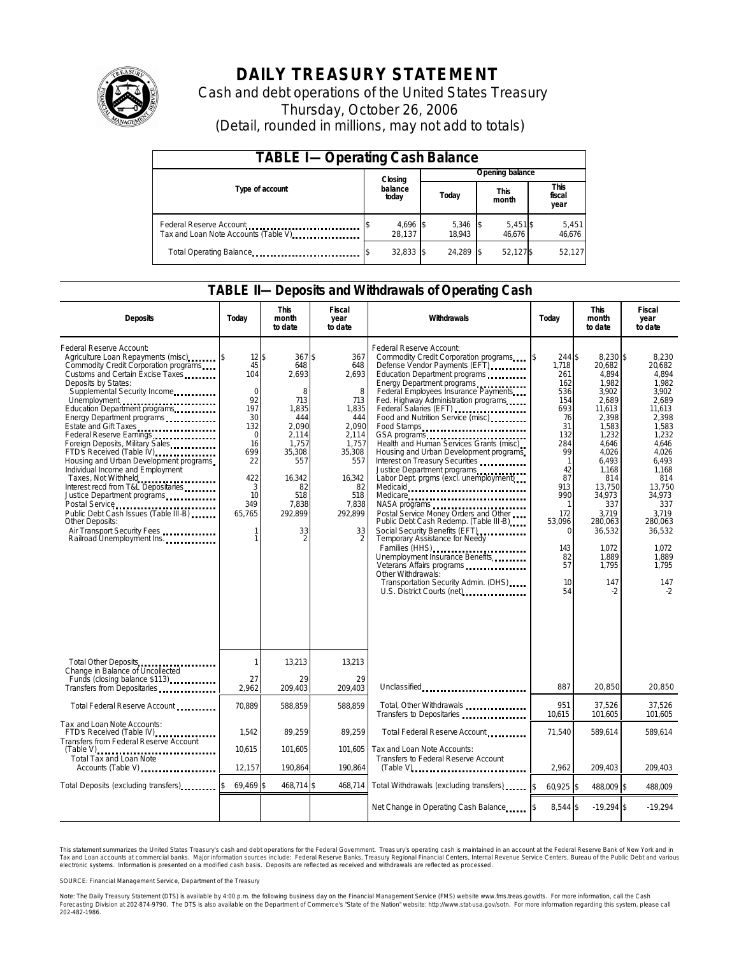

# **DAILY TREASURY STATEMENT**

Cash and debt operations of the United States Treasury Thursday, October 26, 2006 (Detail, rounded in millions, may not add to totals)

| <b>TABLE I-Operating Cash Balance</b>                            |                  |                    |       |                 |                      |                      |  |                               |
|------------------------------------------------------------------|------------------|--------------------|-------|-----------------|----------------------|----------------------|--|-------------------------------|
|                                                                  |                  | Closing            |       | Opening balance |                      |                      |  |                               |
| Type of account                                                  | balance<br>today |                    | Today |                 | <b>This</b><br>month |                      |  | <b>This</b><br>fiscal<br>year |
| Federal Reserve Account<br>Tax and Loan Note Accounts (Table V). |                  | 4,696 \$<br>28.137 |       | 5,346<br>18.943 |                      | $5,451$ \$<br>46.676 |  | 5,451<br>46,676               |
| Total Operating Balance                                          |                  | $32,833$ \$        |       | 24.289          |                      | 52,127\$             |  | 52.127                        |

#### **TABLE II—Deposits and Withdrawals of Operating Cash**

| <b>Deposits</b>                                                                                                                                                                                                                                                                                                                                                                                                                                                                                                                                                                                                                                                                                                 | Today                                                                                                                                        | <b>This</b><br>month<br>to date                                                                                                                                  | Fiscal<br>year<br>to date                                                                                                                         | Withdrawals                                                                                                                                                                                                                                                                                                                                                                                                                                                                                                                                                                                                                                                                                                                                                                                                                                        | Today                                                                                                                                                                                                        | <b>This</b><br>month<br>to date                                                                                                                                                                                                           | <b>Fiscal</b><br>year<br>to date                                                                                                                                                                                                       |
|-----------------------------------------------------------------------------------------------------------------------------------------------------------------------------------------------------------------------------------------------------------------------------------------------------------------------------------------------------------------------------------------------------------------------------------------------------------------------------------------------------------------------------------------------------------------------------------------------------------------------------------------------------------------------------------------------------------------|----------------------------------------------------------------------------------------------------------------------------------------------|------------------------------------------------------------------------------------------------------------------------------------------------------------------|---------------------------------------------------------------------------------------------------------------------------------------------------|----------------------------------------------------------------------------------------------------------------------------------------------------------------------------------------------------------------------------------------------------------------------------------------------------------------------------------------------------------------------------------------------------------------------------------------------------------------------------------------------------------------------------------------------------------------------------------------------------------------------------------------------------------------------------------------------------------------------------------------------------------------------------------------------------------------------------------------------------|--------------------------------------------------------------------------------------------------------------------------------------------------------------------------------------------------------------|-------------------------------------------------------------------------------------------------------------------------------------------------------------------------------------------------------------------------------------------|----------------------------------------------------------------------------------------------------------------------------------------------------------------------------------------------------------------------------------------|
| Federal Reserve Account:<br>Agriculture Loan Repayments (misc)<br>Commodity Credit Corporation programs<br>Customs and Certain Excise Taxes<br>Deposits by States:<br>Supplemental Security Income<br>Unemployment<br>Education Department programs<br>Energy Department programs<br>Estate and Gift Taxes<br><br>Federal Reserve Earnings<br>Foreign Deposits, Military Sales<br>FTD's Received (Table IV)<br>Housing and Urban Development programs<br>Individual Income and Employment<br>Taxes, Not Withheld<br>Interest recd from T&L Depositaries<br>Justice Department programs<br>Public Debt Cash Issues (Table III-B)<br>Other Deposits:<br>Air Transport Security Fees<br>Railroad Unemployment Ins. | $12$ \$<br>45<br>104<br>$\mathbf 0$<br>92<br>197<br>30<br>132<br>$\mathbf 0$<br>16<br>699<br>22<br>422<br>3<br>10<br>349<br>65,765<br>1<br>1 | 367\$<br>648<br>2,693<br>8<br>713<br>1,835<br>444<br>2.090<br>2,114<br>1.757<br>35,308<br>557<br>16.342<br>82<br>518<br>7,838<br>292,899<br>33<br>$\overline{2}$ | 367<br>648<br>2,693<br>8<br>713<br>1,835<br>444<br>2.090<br>2,114<br>1.757<br>35,308<br>557<br>16.342<br>82<br>518<br>7,838<br>292,899<br>33<br>2 | Federal Reserve Account:<br>Commodity Credit Corporation programs<br>Defense Vendor Payments (EFT)<br>Education Department programs<br>Energy Department programs<br>Federal Employees Insurance Payments<br>Fed. Highway Administration programs<br>Federal Salaries (EFT)<br>Food and Nutrition Service (misc)<br>Food Stamps<br>GSA programs<br>Health and Human Services Grants (misc)<br>Housing and Urban Development programs<br>Interest on Treasury Securities<br>Justice Department programs<br>Labor Dept. prgms (excl. unemployment)<br>Medicaid<br>Medicare<br>Postal Service Money Orders and Other<br>Public Debt Cash Redemp. (Table III-B)<br>Social Security Benefits (EFT)<br>Temporary Assistance for Needy<br>Families (HHS)<br>Unemployment Insurance Benefits<br>Other Withdrawals:<br>Transportation Security Admin. (DHS) | ß.<br>244 \$<br>1,718<br>261<br>162<br>536<br>154<br>693<br>76<br>31<br>132<br>284<br>99<br>$\mathbf{1}$<br>42<br>87<br>913<br>990<br>172<br>53,096<br>$\Omega$<br>143<br>82<br>57<br>10 <sup>10</sup><br>54 | 8,230 \$<br>20.682<br>4,894<br>1.982<br>3,902<br>2,689<br>11,613<br>2,398<br>1.583<br>1,232<br>4.646<br>4,026<br>6.493<br>1.168<br>814<br>13.750<br>34,973<br>337<br>3,719<br>280.063<br>36,532<br>1,072<br>1,889<br>1.795<br>147<br>$-2$ | 8,230<br>20.682<br>4.894<br>1.982<br>3,902<br>2.689<br>11,613<br>2,398<br>1.583<br>1,232<br>4.646<br>4,026<br>6.493<br>1.168<br>814<br>13.750<br>34,973<br>337<br>3,719<br>280.063<br>36,532<br>1.072<br>1,889<br>1,795<br>147<br>$-2$ |
| Total Other Deposits<br>Change in Balance of Uncollected<br>Funds (closing balance \$113)<br>Funds (closing balance \$113)                                                                                                                                                                                                                                                                                                                                                                                                                                                                                                                                                                                      | 1<br>27                                                                                                                                      | 13,213<br>29                                                                                                                                                     | 13,213<br>29                                                                                                                                      |                                                                                                                                                                                                                                                                                                                                                                                                                                                                                                                                                                                                                                                                                                                                                                                                                                                    |                                                                                                                                                                                                              |                                                                                                                                                                                                                                           |                                                                                                                                                                                                                                        |
| Transfers from Depositaries                                                                                                                                                                                                                                                                                                                                                                                                                                                                                                                                                                                                                                                                                     | 2,962                                                                                                                                        | 209,403                                                                                                                                                          | 209.403                                                                                                                                           | Unclassified                                                                                                                                                                                                                                                                                                                                                                                                                                                                                                                                                                                                                                                                                                                                                                                                                                       | 887                                                                                                                                                                                                          | 20.850                                                                                                                                                                                                                                    | 20.850                                                                                                                                                                                                                                 |
| Total Federal Reserve Account                                                                                                                                                                                                                                                                                                                                                                                                                                                                                                                                                                                                                                                                                   | 70.889                                                                                                                                       | 588.859                                                                                                                                                          | 588.859                                                                                                                                           | Total, Other Withdrawals<br>Transfers to Depositaries                                                                                                                                                                                                                                                                                                                                                                                                                                                                                                                                                                                                                                                                                                                                                                                              | 951<br>10,615                                                                                                                                                                                                | 37,526<br>101.605                                                                                                                                                                                                                         | 37,526<br>101,605                                                                                                                                                                                                                      |
| Tax and Loan Note Accounts:<br>FTD's Received (Table IV)<br>Transfers from Federal Reserve Account                                                                                                                                                                                                                                                                                                                                                                                                                                                                                                                                                                                                              | 1.542                                                                                                                                        | 89,259                                                                                                                                                           | 89.259                                                                                                                                            | Total Federal Reserve Account                                                                                                                                                                                                                                                                                                                                                                                                                                                                                                                                                                                                                                                                                                                                                                                                                      | 71.540                                                                                                                                                                                                       | 589.614                                                                                                                                                                                                                                   | 589.614                                                                                                                                                                                                                                |
| $(Table V)$<br>Total Tax and Loan Note<br>Accounts (Table V)                                                                                                                                                                                                                                                                                                                                                                                                                                                                                                                                                                                                                                                    | 10,615<br>12,157                                                                                                                             | 101,605<br>190,864                                                                                                                                               | 101,605<br>190,864                                                                                                                                | Tax and Loan Note Accounts:<br>Transfers to Federal Reserve Account<br>$(Table V)$                                                                                                                                                                                                                                                                                                                                                                                                                                                                                                                                                                                                                                                                                                                                                                 | 2,962                                                                                                                                                                                                        | 209,403                                                                                                                                                                                                                                   | 209,403                                                                                                                                                                                                                                |
| Total Deposits (excluding transfers)                                                                                                                                                                                                                                                                                                                                                                                                                                                                                                                                                                                                                                                                            | 69.469 \$                                                                                                                                    | 468,714 \$                                                                                                                                                       | 468,714                                                                                                                                           | Total Withdrawals (excluding transfers)                                                                                                                                                                                                                                                                                                                                                                                                                                                                                                                                                                                                                                                                                                                                                                                                            | 60,925 \$<br><sup>\$</sup>                                                                                                                                                                                   | 488,009 \$                                                                                                                                                                                                                                | 488,009                                                                                                                                                                                                                                |
|                                                                                                                                                                                                                                                                                                                                                                                                                                                                                                                                                                                                                                                                                                                 |                                                                                                                                              |                                                                                                                                                                  |                                                                                                                                                   | Net Change in Operating Cash Balance                                                                                                                                                                                                                                                                                                                                                                                                                                                                                                                                                                                                                                                                                                                                                                                                               | 8,544 \$                                                                                                                                                                                                     | $-19,294$ \$                                                                                                                                                                                                                              | $-19,294$                                                                                                                                                                                                                              |

This statement summarizes the United States Treasury's cash and debt operations for the Federal Government. Treasury's operating cash is maintained in an account at the Federal Reserve Bank of New York and in Tax and Loan accounts at commercial banks. Major information sources include: Federal Reserve Banks, Treasury Regional Financial Centers, Internal Revenue Service Centers, Bureau of the Public Debt and various<br>electronic s

SOURCE: Financial Management Service, Department of the Treasury

Note: The Daily Treasury Statement (DTS) is available by 4:00 p.m. the following business day on the Financial Management Service (FMS) website www.fms.treas.gov/dts.<br>Forecasting Division at 202-874-9790. The DTS is also a eas.gov/dts. For more information, call the Cash<br>For more information regarding this system, please call